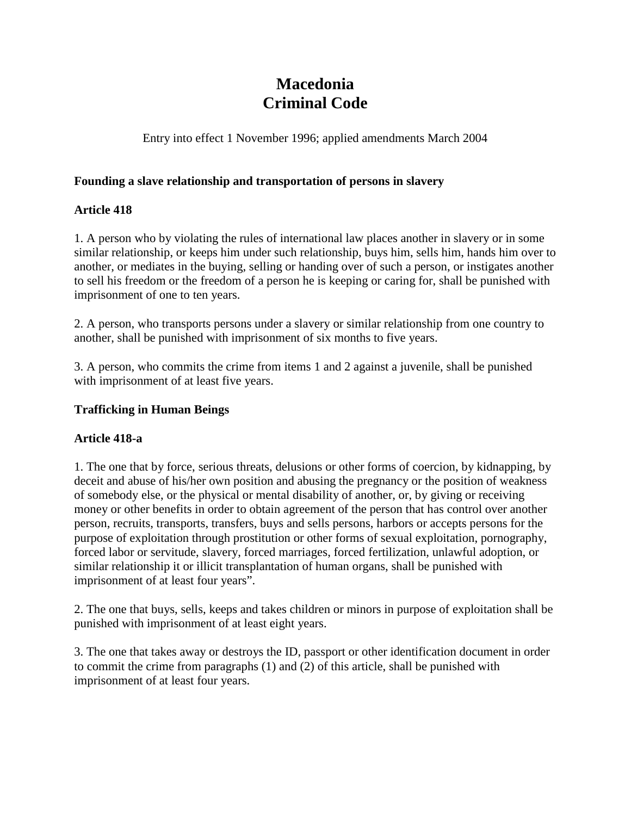# **Macedonia Criminal Code**

Entry into effect 1 November 1996; applied amendments March 2004

#### **Founding a slave relationship and transportation of persons in slavery**

## **Article 418**

1. A person who by violating the rules of international law places another in slavery or in some similar relationship, or keeps him under such relationship, buys him, sells him, hands him over to another, or mediates in the buying, selling or handing over of such a person, or instigates another to sell his freedom or the freedom of a person he is keeping or caring for, shall be punished with imprisonment of one to ten years.

2. A person, who transports persons under a slavery or similar relationship from one country to another, shall be punished with imprisonment of six months to five years.

3. A person, who commits the crime from items 1 and 2 against a juvenile, shall be punished with imprisonment of at least five years.

#### **Trafficking in Human Beings**

#### **Article 418-a**

1. The one that by force, serious threats, delusions or other forms of coercion, by kidnapping, by deceit and abuse of his/her own position and abusing the pregnancy or the position of weakness of somebody else, or the physical or mental disability of another, or, by giving or receiving money or other benefits in order to obtain agreement of the person that has control over another person, recruits, transports, transfers, buys and sells persons, harbors or accepts persons for the purpose of exploitation through prostitution or other forms of sexual exploitation, pornography, forced labor or servitude, slavery, forced marriages, forced fertilization, unlawful adoption, or similar relationship it or illicit transplantation of human organs, shall be punished with imprisonment of at least four years".

2. The one that buys, sells, keeps and takes children or minors in purpose of exploitation shall be punished with imprisonment of at least eight years.

3. The one that takes away or destroys the ID, passport or other identification document in order to commit the crime from paragraphs (1) and (2) of this article, shall be punished with imprisonment of at least four years.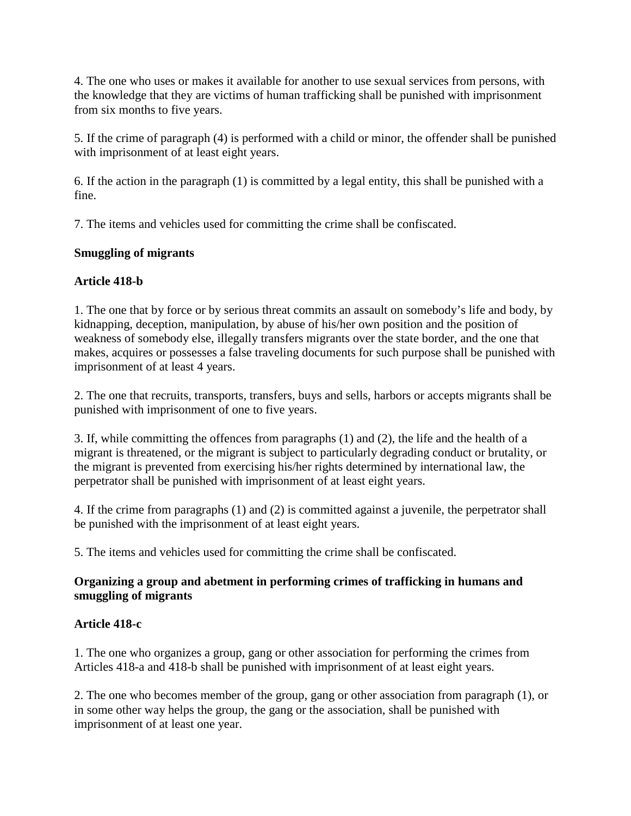4. The one who uses or makes it available for another to use sexual services from persons, with the knowledge that they are victims of human trafficking shall be punished with imprisonment from six months to five years.

5. If the crime of paragraph (4) is performed with a child or minor, the offender shall be punished with imprisonment of at least eight years.

6. If the action in the paragraph (1) is committed by a legal entity, this shall be punished with a fine.

7. The items and vehicles used for committing the crime shall be confiscated.

# **Smuggling of migrants**

# **Article 418-b**

1. The one that by force or by serious threat commits an assault on somebody's life and body, by kidnapping, deception, manipulation, by abuse of his/her own position and the position of weakness of somebody else, illegally transfers migrants over the state border, and the one that makes, acquires or possesses a false traveling documents for such purpose shall be punished with imprisonment of at least 4 years.

2. The one that recruits, transports, transfers, buys and sells, harbors or accepts migrants shall be punished with imprisonment of one to five years.

3. If, while committing the offences from paragraphs (1) and (2), the life and the health of a migrant is threatened, or the migrant is subject to particularly degrading conduct or brutality, or the migrant is prevented from exercising his/her rights determined by international law, the perpetrator shall be punished with imprisonment of at least eight years.

4. If the crime from paragraphs (1) and (2) is committed against a juvenile, the perpetrator shall be punished with the imprisonment of at least eight years.

5. The items and vehicles used for committing the crime shall be confiscated.

## **Organizing a group and abetment in performing crimes of trafficking in humans and smuggling of migrants**

## **Article 418-c**

1. The one who organizes a group, gang or other association for performing the crimes from Articles 418-a and 418-b shall be punished with imprisonment of at least eight years.

2. The one who becomes member of the group, gang or other association from paragraph (1), or in some other way helps the group, the gang or the association, shall be punished with imprisonment of at least one year.